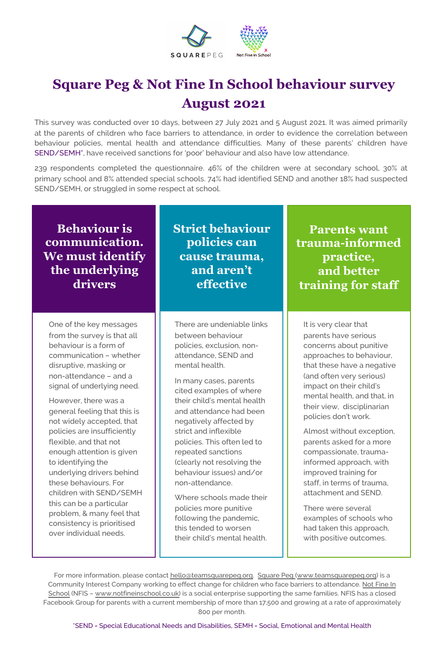

#### **Square Peg & Not Fine In School behaviour survey August 2021**

This survey was conducted over 10 days, between 27 July 2021 and 5 August 2021. It was aimed primarily at the parents of children who face barriers to attendance, in order to evidence the correlation between behaviour policies, mental health and attendance difficulties. Many of these parents' children have SEND/SEMH\*, have received sanctions for 'poor' behaviour and also have low attendance.

239 respondents completed the questionnaire. 46% of the children were at secondary school, 30% at primary school and 8% attended special schools. 74% had identified SEND and another 18% had suspected SEND/SEMH, or struggled in some respect at school.

| <b>Behaviour is</b> |
|---------------------|
| communication.      |
| We must identify    |
| the underlying      |
| drivers             |

One of the key messages from the survey is that all behaviour is a form of communication – whether disruptive, masking or non-attendance – and a signal of underlying need.

However, there was a general feeling that this is not widely accepted, that policies are insufficiently flexible, and that not enough attention is given to identifying the underlying drivers behind these behaviours. For children with SEND/SEMH this can be a particular problem, & many feel that consistency is prioritised over individual needs.

**Strict behaviour policies can cause trauma, and aren't effective**

There are undeniable links between behaviour policies, exclusion, nonattendance, SEND and mental health.

In many cases, parents cited examples of where their child's mental health and attendance had been negatively affected by strict and inflexible policies. This often led to repeated sanctions (clearly not resolving the behaviour issues) and/or non-attendance.

Where schools made their policies more punitive following the pandemic, this tended to worsen their child's mental health.

**Parents want trauma-informed practice, and better training for staff**

It is very clear that parents have serious concerns about punitive approaches to behaviour, that these have a negative (and often very serious) impact on their child's mental health, and that, in their view, disciplinarian policies don't work.

Almost without exception, parents asked for a more compassionate, traumainformed approach, with improved training for staff, in terms of trauma, attachment and SEND.

There were several examples of schools who had taken this approach, with positive outcomes.

For more information, please contact hello@teamsquarepeg.org. Square Peg (www.teamsquarepeg.org) is a [Community Interest Company working to effect change for children who face barriers to attendance. Not Fine In](http://www.notfineinschool.co.uk/) School (NFIS – www.notfineinschool.co.uk) is a social enterprise supporting the same families. NFIS has a closed Facebook Group for parents with a current membership of more than 17,500 and growing at a rate of approximately 800 per month.